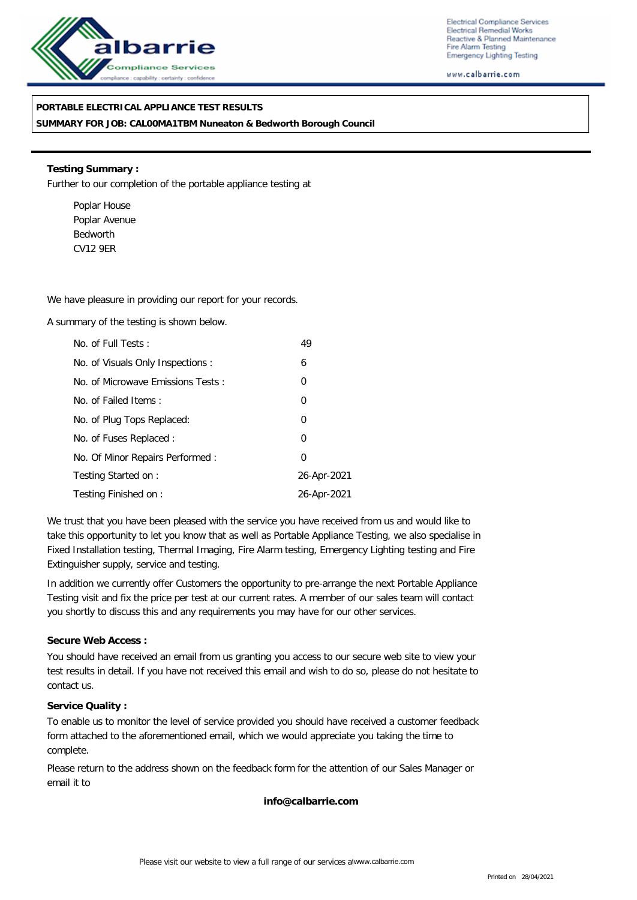

Electrical Compliance Services Electrical Remedial Works Reactive & Planned Maintenance Fire Alarm Testing Emergency Lighting Testing

www.calbarrie.com

### **PORTABLE ELECTRICAL APPLIANCE TEST RESULTS**

**SUMMARY FOR JOB: CAL00MA1TBM Nuneaton & Bedworth Borough Council**

**Testing Summary :** Further to our completion of the portable appliance testing at

Poplar House Poplar Avenue Bedworth CV12 9ER

We have pleasure in providing our report for your records.

A summary of the testing is shown below.

| No. of Full Tests:                | 49             |
|-----------------------------------|----------------|
| No. of Visuals Only Inspections : | 6              |
| No. of Microwave Emissions Tests: | 0              |
| No. of Failed Items:              | $\overline{0}$ |
| No. of Plug Tops Replaced:        | $\overline{0}$ |
| No. of Fuses Replaced:            | 0              |
| No. Of Minor Repairs Performed:   | $\Omega$       |
| Testing Started on:               | 26-Apr-2021    |
| Testing Finished on:              | 26-Apr-2021    |

We trust that you have been pleased with the service you have received from us and would like to take this opportunity to let you know that as well as Portable Appliance Testing, we also specialise in Fixed Installation testing, Thermal Imaging, Fire Alarm testing, Emergency Lighting testing and Fire Extinguisher supply, service and testing.

In addition we currently offer Customers the opportunity to pre-arrange the next Portable Appliance Testing visit and fix the price per test at our current rates. A member of our sales team will contact you shortly to discuss this and any requirements you may have for our other services.

### **Secure Web Access :**

You should have received an email from us granting you access to our secure web site to view your test results in detail. If you have not received this email and wish to do so, please do not hesitate to contact us.

### **Service Quality :**

To enable us to monitor the level of service provided you should have received a customer feedback form attached to the aforementioned email, which we would appreciate you taking the time to complete.

Please return to the address shown on the feedback form for the attention of our Sales Manager or email it to

**info@calbarrie.com**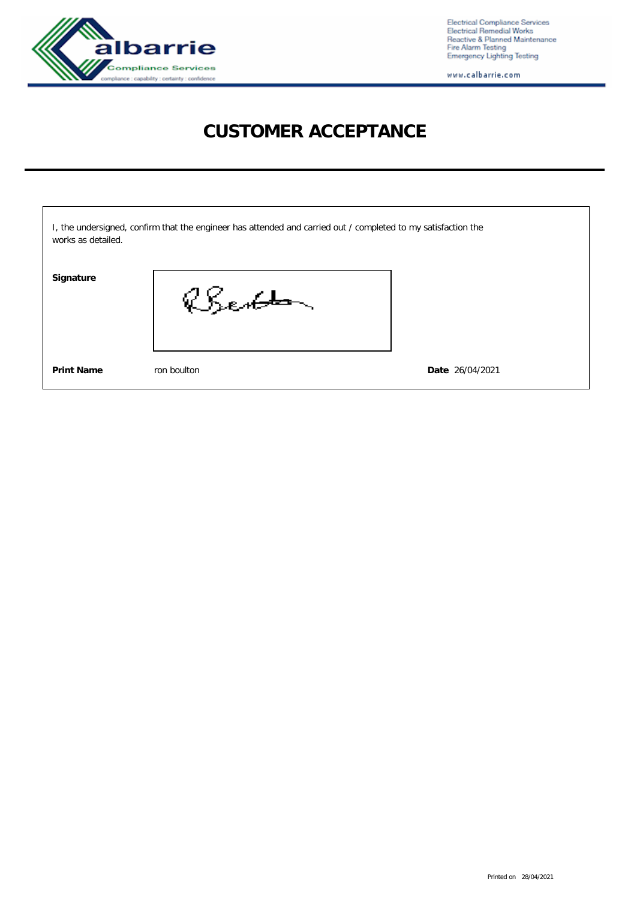

Electrical Compliance Services<br>Electrical Remedial Works<br>Reactive & Planned Maintenance<br>Fire Alarm Testing<br>Emergency Lighting Testing

www.calbarrie.com

# **CUSTOMER ACCEPTANCE**

| works as detailed. | I, the undersigned, confirm that the engineer has attended and carried out / completed to my satisfaction the |                 |
|--------------------|---------------------------------------------------------------------------------------------------------------|-----------------|
| Signature          | Berton                                                                                                        |                 |
| <b>Print Name</b>  | ron boulton                                                                                                   | Date 26/04/2021 |

Printed on 28/04/2021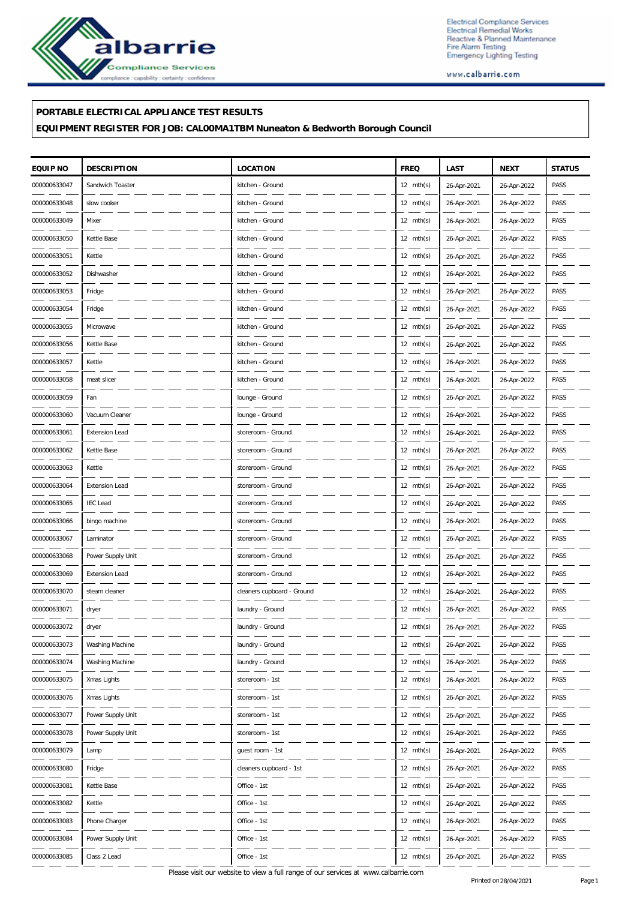

Electrical Compliance Services Electrical Compliance Services<br>Electrical Remedial Works<br>Reactive & Planned Maintenance<br>Fire Alarm Testing<br>Emergency Lighting Testing

www.calbarrie.com

## **PORTABLE ELECTRICAL APPLIANCE TEST RESULTS**

**EQUIPMENT REGISTER FOR JOB: CAL00MA1TBM Nuneaton & Bedworth Borough Council**

| EQUIP NO     | <b>DESCRIPTION</b>    | <b>LOCATION</b>            | <b>FREQ</b>         | LAST        | <b>NEXT</b> | <b>STATUS</b> |
|--------------|-----------------------|----------------------------|---------------------|-------------|-------------|---------------|
| 000000633047 | Sandwich Toaster      | kitchen - Ground           | $12 \text{ mth(s)}$ | 26-Apr-2021 | 26-Apr-2022 | PASS          |
| 000000633048 | slow cooker           | kitchen - Ground           | $12 \text{ mth(s)}$ | 26-Apr-2021 | 26-Apr-2022 | PASS          |
| 000000633049 | Mixer                 | kitchen - Ground           | $12 \text{ mth(s)}$ | 26-Apr-2021 | 26-Apr-2022 | PASS          |
| 000000633050 | Kettle Base           | kitchen - Ground           | $12 \text{ mth(s)}$ | 26-Apr-2021 | 26-Apr-2022 | PASS          |
| 000000633051 | Kettle                | kitchen - Ground           | $12 \text{ mth(s)}$ | 26-Apr-2021 | 26-Apr-2022 | PASS          |
| 000000633052 | Dishwasher            | kitchen - Ground           | $12 \text{ mth(s)}$ | 26-Apr-2021 | 26-Apr-2022 | PASS          |
| 000000633053 | Fridge                | kitchen - Ground           | $12 \text{ mth(s)}$ | 26-Apr-2021 | 26-Apr-2022 | PASS          |
| 000000633054 | Fridge                | kitchen - Ground           | $12 \text{ mth(s)}$ | 26-Apr-2021 | 26-Apr-2022 | PASS          |
| 000000633055 | Microwave             | kitchen - Ground           | $12 \text{ mth(s)}$ | 26-Apr-2021 | 26-Apr-2022 | PASS          |
| 000000633056 | Kettle Base           | kitchen - Ground           | $12 \text{ mth(s)}$ | 26-Apr-2021 | 26-Apr-2022 | PASS          |
| 000000633057 | Kettle                | kitchen - Ground           | $12 \text{ mth(s)}$ | 26-Apr-2021 | 26-Apr-2022 | PASS          |
| 000000633058 | meat slicer           | kitchen - Ground           | $12 \text{ mth(s)}$ | 26-Apr-2021 | 26-Apr-2022 | PASS          |
| 000000633059 | Fan                   | lounge - Ground            | $12 \text{ mth(s)}$ | 26-Apr-2021 | 26-Apr-2022 | PASS          |
| 000000633060 | Vacuum Cleaner        | lounge - Ground            | $12 \text{ mth(s)}$ | 26-Apr-2021 | 26-Apr-2022 | PASS          |
| 000000633061 | <b>Extension Lead</b> | storeroom - Ground         | $12 \text{ mth(s)}$ | 26-Apr-2021 | 26-Apr-2022 | PASS          |
| 000000633062 | Kettle Base           | storeroom - Ground         | $12 \text{ mth(s)}$ | 26-Apr-2021 | 26-Apr-2022 | PASS          |
| 000000633063 | Kettle                | storeroom - Ground         | $12 \text{ mth(s)}$ | 26-Apr-2021 | 26-Apr-2022 | PASS          |
| 000000633064 | <b>Extension Lead</b> | storeroom - Ground         | $12 \text{ mth(s)}$ | 26-Apr-2021 | 26-Apr-2022 | PASS          |
| 000000633065 | <b>IEC</b> Lead       | storeroom - Ground         | $12 \text{ mth(s)}$ | 26-Apr-2021 | 26-Apr-2022 | PASS          |
| 000000633066 | bingo machine         | storeroom - Ground         | $12 \text{ mth(s)}$ | 26-Apr-2021 | 26-Apr-2022 | PASS          |
| 000000633067 | Laminator             | storeroom - Ground         | $12 \text{ mth(s)}$ | 26-Apr-2021 | 26-Apr-2022 | PASS          |
| 000000633068 | Power Supply Unit     | storeroom - Ground         | $12 \text{ mth(s)}$ | 26-Apr-2021 | 26-Apr-2022 | PASS          |
| 000000633069 | <b>Extension Lead</b> | storeroom - Ground         | $12 \text{ mth(s)}$ | 26-Apr-2021 | 26-Apr-2022 | PASS          |
| 000000633070 | steam cleaner         | cleaners cupboard - Ground | $12 \text{ mth(s)}$ | 26-Apr-2021 | 26-Apr-2022 | PASS          |
| 000000633071 | dryer                 | laundry - Ground           | 12 mth(s)           | 26-Apr-2021 | 26-Apr-2022 | PASS          |
| 000000633072 | dryer                 | laundry - Ground           | $12 \text{ mth(s)}$ | 26-Apr-2021 | 26-Apr-2022 | PASS          |
| 000000633073 | Washing Machine       | laundry - Ground           | $12 \text{ mth(s)}$ | 26-Apr-2021 | 26-Apr-2022 | PASS          |
| 000000633074 | Washing Machine       | laundry - Ground           | $12 \text{ mth(s)}$ | 26-Apr-2021 | 26-Apr-2022 | PASS          |
| 000000633075 | Xmas Lights           | storeroom - 1st            | 12 $mth(s)$         | 26-Apr-2021 | 26-Apr-2022 | PASS          |
| 000000633076 | Xmas Lights           | storeroom - 1st            | 12 $mth(s)$         | 26-Apr-2021 | 26-Apr-2022 | PASS          |
| 000000633077 | Power Supply Unit     | storeroom - 1st            | $12 \text{ mth(s)}$ | 26-Apr-2021 | 26-Apr-2022 | PASS          |
| 000000633078 | Power Supply Unit     | storeroom - 1st            | $12 \text{ mth(s)}$ | 26-Apr-2021 | 26-Apr-2022 | PASS          |
| 000000633079 | Lamp                  | guest room - 1st           | 12 $mth(s)$         | 26-Apr-2021 | 26-Apr-2022 | PASS          |
| 000000633080 | Fridge                | cleaners cupboard - 1st    | 12 $mth(s)$         | 26-Apr-2021 | 26-Apr-2022 | PASS          |
| 000000633081 | Kettle Base           | Office - 1st               | $12 \text{ mth(s)}$ | 26-Apr-2021 | 26-Apr-2022 | PASS          |
| 000000633082 | Kettle                | Office - 1st               | $12 \text{ mth(s)}$ | 26-Apr-2021 | 26-Apr-2022 | PASS          |
| 000000633083 | Phone Charger         | Office - 1st               | 12 $mth(s)$         | 26-Apr-2021 | 26-Apr-2022 | PASS          |
| 000000633084 | Power Supply Unit     | Office - 1st               | 12 $mth(s)$         | 26-Apr-2021 | 26-Apr-2022 | PASS          |
| 000000633085 | Class 2 Lead          | Office - 1st               | 12 mth(s)           | 26-Apr-2021 | 26-Apr-2022 | PASS          |

Please visit our website to view a full range of our services at www.calbarrie.com Printed on 28/04/2021 Page 1